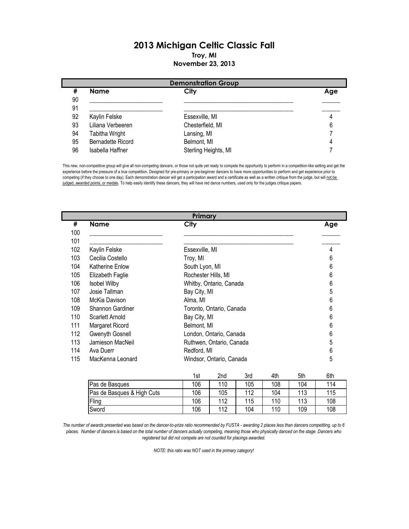## 2013 Michigan Celtic Classic Fall Troy, MI November 23, 2013

|    | <b>Demonstration Group</b> |                      |     |  |  |
|----|----------------------------|----------------------|-----|--|--|
| #  | <b>Name</b>                | City                 | Age |  |  |
| 90 |                            |                      |     |  |  |
| 91 |                            |                      |     |  |  |
| 92 | Kaylin Felske              | Essexville, MI       |     |  |  |
| 93 | Liliana Verbeeren          | Chesterfield, MI     | 6   |  |  |
| 94 | Tabitha Wright             | Lansing, MI          |     |  |  |
| 95 | Bernadette Ricord          | Belmont, MI          |     |  |  |
| 96 | Isabella Haffner           | Sterling Heights, MI |     |  |  |

This new, non-competitive group will give all non-competing dancers, or those not quite yet ready to compete the opportunity to perform in a competition-like setting and get the experience before the pressure of a true competition. Designed for pre-primary or pre-beginner dancers to have more opportunities to perform and get experience prior to competing (if they choose to one day). Each demonstration dancer will get a participation award and a certificate as well as a written critique from the judge, but will not be judged, awarded points, or medals. To help easily identify these dancers, they will have red dance numbers, used only for the judges critique papers.

|     | Primary                |                          |     |  |  |
|-----|------------------------|--------------------------|-----|--|--|
| #   | <b>Name</b>            | City                     | Age |  |  |
| 100 |                        |                          |     |  |  |
| 101 |                        |                          |     |  |  |
| 102 | Kaylin Felske          | Essexville, MI           | 4   |  |  |
| 103 | Cecilia Costello       | Troy, MI                 | 6   |  |  |
| 104 | <b>Katherine Enlow</b> | South Lyon, MI           | 6   |  |  |
| 105 | Elizabeth Faglie       | Rochester Hills, MI      | 6   |  |  |
| 106 | <b>Isobel Wilby</b>    | Whitby, Ontario, Canada  | 6   |  |  |
| 107 | Josie Tallman          | Bay City, MI             | 5   |  |  |
| 108 | McKia Davison          | Alma, MI                 | 6   |  |  |
| 109 | Shannon Gardiner       | Toronto, Ontario, Canada | 6   |  |  |
| 110 | Scarlett Arnold        | Bay City, MI             | 6   |  |  |
| 111 | Margaret Ricord        | Belmont, MI              | 6   |  |  |
| 112 | Gwenyth Gosnell        | London, Ontario, Canada  | 6   |  |  |
| 113 | Jamieson MacNeil       | Ruthwen, Ontario, Canada | 5   |  |  |
| 114 | Ava Duerr              | Redford, MI              | 6   |  |  |
| 115 | MacKenna Leonard       | Windsor, Ontario, Canada | 5   |  |  |

|                            | 1st | 2nd | 3rd | 4th | 5th | 6th |
|----------------------------|-----|-----|-----|-----|-----|-----|
| Pas de Basques             | 106 | 110 | 105 | 108 | 104 | 114 |
| Pas de Basques & High Cuts | 106 | 105 | 112 | 104 | 113 | 115 |
| Fling                      | 106 | 112 | 115 | 110 | 113 | 108 |
| Sword                      | 106 | 112 | 104 | 110 | 109 | 108 |

The number of awards presented was based on the dancer-to-prize ratio recommended by FUSTA - awarding 2 places less than dancers competiting, up to 6 places. Number of dancers is based on the total number of dancers actually competing, meaning those who physically danced on the stage. Dancers who registered but did not compete are not counted for placings awarded.

NOTE: this ratio was NOT used in the primary category!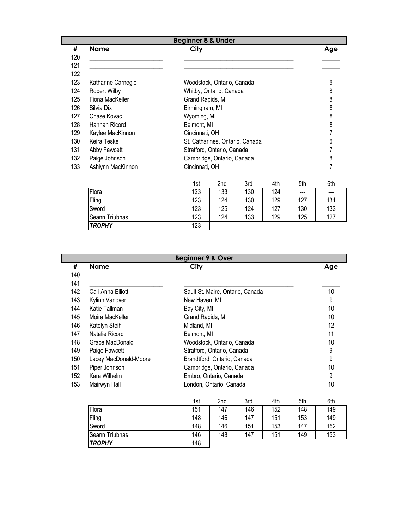|     | <b>Beginner 8 &amp; Under</b> |                  |                            |                                 |     |     |     |
|-----|-------------------------------|------------------|----------------------------|---------------------------------|-----|-----|-----|
| #   | <b>Name</b>                   | City             |                            |                                 |     |     | Age |
| 120 |                               |                  |                            |                                 |     |     |     |
| 121 |                               |                  |                            |                                 |     |     |     |
| 122 |                               |                  |                            |                                 |     |     |     |
| 123 | Katharine Carnegie            |                  | Woodstock, Ontario, Canada |                                 |     |     | 6   |
| 124 | Robert Wilby                  |                  | Whitby, Ontario, Canada    |                                 |     |     | 8   |
| 125 | Fiona MacKeller               | Grand Rapids, MI |                            |                                 |     |     | 8   |
| 126 | Silvia Dix                    | Birmingham, MI   |                            |                                 |     |     | 8   |
| 127 | Chase Kovac                   | Wyoming, MI      |                            |                                 |     |     | 8   |
| 128 | Hannah Ricord                 | Belmont, MI      |                            |                                 |     |     | 8   |
| 129 | Kaylee MacKinnon              | Cincinnati, OH   |                            |                                 |     |     |     |
| 130 | Keira Teske                   |                  |                            | St. Catharines, Ontario, Canada |     |     | 6   |
| 131 | Abby Fawcett                  |                  | Stratford, Ontario, Canada |                                 |     |     |     |
| 132 | Paige Johnson                 |                  | Cambridge, Ontario, Canada |                                 |     |     | 8   |
| 133 | Ashlynn MacKinnon             | Cincinnati, OH   |                            |                                 |     |     | 7   |
|     |                               | 1st              | 2nd                        | 3rd                             | 4th | 5th | 6th |

|                | .   | --- | <b>VIM</b> | .   | .       | ິ   |
|----------------|-----|-----|------------|-----|---------|-----|
| Flora          | 123 | 133 | 130        | 124 | $- - -$ | --- |
| Fling          | 123 | 124 | 130        | 129 | 127     | 131 |
| Sword          | 123 | 125 | 124        | 127 | 130     | 133 |
| Seann Triubhas | 123 | 124 | 133        | 129 | 125     | 127 |
| <b>TROPHY</b>  | 123 |     |            |     |         |     |

| #   | <b>Name</b>           | City                             | Age |
|-----|-----------------------|----------------------------------|-----|
| 140 |                       |                                  |     |
| 141 |                       |                                  |     |
| 142 | Cali-Anna Elliott     | Sault St. Maire, Ontario, Canada | 10  |
| 143 | Kylinn Vanover        | New Haven, MI                    | 9   |
| 144 | Katie Tallman         | Bay City, MI                     | 10  |
| 145 | Moira MacKeller       | Grand Rapids, MI                 | 10  |
| 146 | Katelyn Steih         | Midland, MI                      | 12  |
| 147 | Natalie Ricord        | Belmont, MI                      | 11  |
| 148 | Grace MacDonald       | Woodstock, Ontario, Canada       | 10  |
| 149 | Paige Fawcett         | Stratford, Ontario, Canada       | 9   |
| 150 | Lacey MacDonald-Moore | Brandtford, Ontario, Canada      | 9   |
| 151 | Piper Johnson         | Cambridge, Ontario, Canada       | 10  |
| 152 | Kara Wilhelm          | Embro, Ontario, Canada           | 9   |
| 153 | Mairwyn Hall          | London, Ontario, Canada          | 10  |

|                | 1st | 2nd | 3rd | 4th | 5th | 6th |
|----------------|-----|-----|-----|-----|-----|-----|
| Flora          | 151 | 147 | 146 | 152 | 148 | 149 |
| Fling          | 148 | 146 | 147 | 151 | 153 | 149 |
| Sword          | 148 | 146 | 151 | 153 | 147 | 152 |
| Seann Triubhas | 146 | 148 | 147 | 151 | 149 | 153 |
| <b>TROPHY</b>  | 148 |     |     |     |     |     |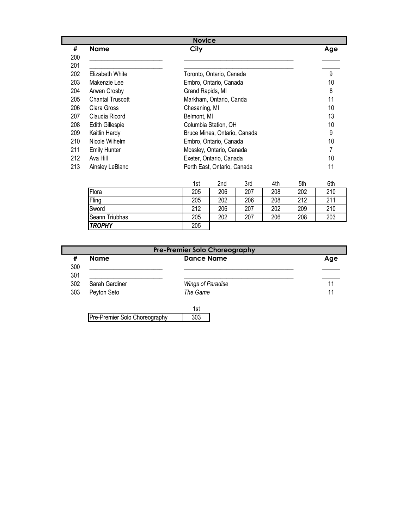|     |                         | <b>Novice</b>                |     |
|-----|-------------------------|------------------------------|-----|
| #   | <b>Name</b>             | City                         | Age |
| 200 |                         |                              |     |
| 201 |                         |                              |     |
| 202 | Elizabeth White         | Toronto, Ontario, Canada     | 9   |
| 203 | Makenzie Lee            | Embro, Ontario, Canada       | 10  |
| 204 | Arwen Crosby            | Grand Rapids, MI             | 8   |
| 205 | <b>Chantal Truscott</b> | Markham, Ontario, Canda      | 11  |
| 206 | Clara Gross             | Chesaning, MI                | 10  |
| 207 | Claudia Ricord          | Belmont, MI                  | 13  |
| 208 | <b>Edith Gillespie</b>  | Columbia Station, OH         | 10  |
| 209 | Kaitlin Hardy           | Bruce Mines, Ontario, Canada | 9   |
| 210 | Nicole Wilhelm          | Embro, Ontario, Canada       | 10  |
| 211 | <b>Emily Hunter</b>     | Mossley, Ontario, Canada     | 7   |
| 212 | Ava Hill                | Exeter, Ontario, Canada      | 10  |
| 213 | Ainsley LeBlanc         | Perth East, Ontario, Canada  | 11  |

|                | 1st | 2nd | 3rd | 4th | 5th | 6th |
|----------------|-----|-----|-----|-----|-----|-----|
| Flora          | 205 | 206 | 207 | 208 | 202 | 210 |
| Fling          | 205 | 202 | 206 | 208 | 212 | 211 |
| Sword          | 212 | 206 | 207 | 202 | 209 | 210 |
| Seann Triubhas | 205 | 202 | 207 | 206 | 208 | 203 |
| <b>TROPHY</b>  | 205 |     |     |     |     |     |

| #<br>300   | <b>Name</b>    | <b>Dance Name</b> | Age |
|------------|----------------|-------------------|-----|
| 301<br>302 | Sarah Gardiner |                   | 11  |
|            |                | Wings of Paradise |     |
| 303        | Peyton Seto    | The Game          | 11  |

303 Pre-Premier Solo Choreography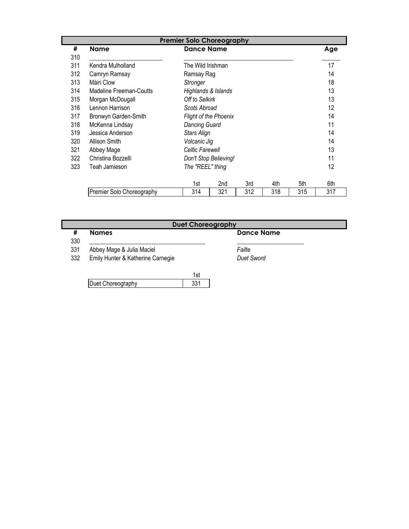|     |                           | <b>Premier Solo Choreography</b> |                              |     |     |     |     |
|-----|---------------------------|----------------------------------|------------------------------|-----|-----|-----|-----|
| #   | <b>Name</b>               | <b>Dance Name</b>                |                              |     |     |     | Age |
| 310 |                           |                                  |                              |     |     |     |     |
| 311 | Kendra Mulholland         | The Wild Irishman                |                              |     |     |     | 17  |
| 312 | Camryn Ramsay             | Ramsay Rag                       |                              |     |     |     | 14  |
| 313 | Màiri Clow                | Stronger                         |                              |     |     |     | 18  |
| 314 | Madeline Freeman-Coutts   | Highlands & Islands              |                              |     |     |     | 13  |
| 315 | Morgan McDougall          | Off to Selkirk                   |                              |     |     |     | 13  |
| 316 | Lennon Harrison           | Scots Abroad                     |                              |     |     |     | 12  |
| 317 | Bronwyn Garden-Smith      |                                  | <b>Flight of the Phoenix</b> |     |     |     | 14  |
| 318 | McKenna Lindsay           | Dancing Guard                    |                              |     |     |     | 11  |
| 319 | Jessica Anderson          | Stars Align                      |                              |     |     |     | 14  |
| 320 | <b>Allison Smith</b>      | Volcanic Jig                     |                              |     |     |     | 14  |
| 321 | Abbey Mage                | Celtic Farewell                  |                              |     |     |     | 13  |
| 322 | Christina Bozzelli        |                                  | Don't Stop Believing!        |     |     |     | 11  |
| 323 | Teah Jamieson             | The "REEL" thing                 |                              |     |     |     | 12  |
|     |                           | 1st                              | 2nd                          | 3rd | 4th | 5th | 6th |
|     | Premier Solo Choreography | 314                              | 321                          | 312 | 318 | 315 | 317 |

| <b>Duet Choreography</b>          |                   |  |  |  |
|-----------------------------------|-------------------|--|--|--|
| <b>Names</b>                      | <b>Dance Name</b> |  |  |  |
| Abbey Mage & Julia Maciel         | Failte            |  |  |  |
| Emily Hunter & Katherine Carnegie | <b>Duet Sword</b> |  |  |  |

| Duet Choreography |  |
|-------------------|--|
|                   |  |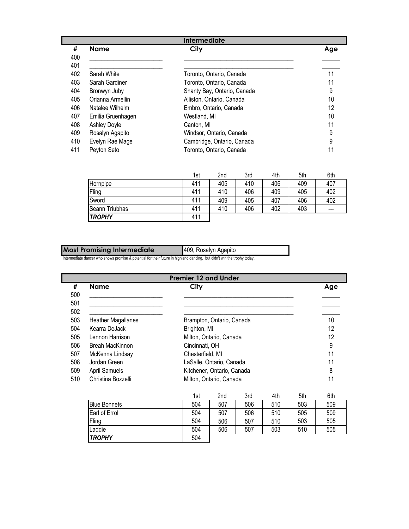|     | <b>Intermediate</b> |                             |     |  |  |  |
|-----|---------------------|-----------------------------|-----|--|--|--|
| #   | <b>Name</b>         | City                        | Age |  |  |  |
| 400 |                     |                             |     |  |  |  |
| 401 |                     |                             |     |  |  |  |
| 402 | Sarah White         | Toronto, Ontario, Canada    | 11  |  |  |  |
| 403 | Sarah Gardiner      | Toronto, Ontario, Canada    | 11  |  |  |  |
| 404 | Bronwyn Juby        | Shanty Bay, Ontario, Canada | 9   |  |  |  |
| 405 | Orianna Armellin    | Alliston, Ontario, Canada   | 10  |  |  |  |
| 406 | Natalee Wilhelm     | Embro, Ontario, Canada      | 12  |  |  |  |
| 407 | Emilia Gruenhagen   | Westland, MI                | 10  |  |  |  |
| 408 | Ashley Doyle        | Canton, MI                  | 11  |  |  |  |
| 409 | Rosalyn Agapito     | Windsor, Ontario, Canada    | 9   |  |  |  |
| 410 | Evelyn Rae Mage     | Cambridge, Ontario, Canada  | 9   |  |  |  |
| 411 | Peyton Seto         | Toronto, Ontario, Canada    | 11  |  |  |  |

|                | 1st | 2 <sub>nd</sub> | 3rd | 4th | 5th | 6th   |
|----------------|-----|-----------------|-----|-----|-----|-------|
| Hornpipe       | 411 | 405             | 410 | 406 | 409 | 407   |
| Fling          | 411 | 410             | 406 | 409 | 405 | 402   |
| Sword          | 411 | 409             | 405 | 407 | 406 | 402   |
| Seann Triubhas | 411 | 410             | 406 | 402 | 403 | $---$ |
| <b>TROPHY</b>  | 411 |                 |     |     |     |       |

| <b>Most Promising Intermediate</b> | 409, Rosalyn Agapito |
|------------------------------------|----------------------|
|------------------------------------|----------------------|

Intermediate dancer who shows promise & potential for their future in highland dancing, but didn't win the trophy today.

| <b>Premier 12 and Under</b> |                           |                            |     |  |
|-----------------------------|---------------------------|----------------------------|-----|--|
| #                           | <b>Name</b>               | City                       | Age |  |
| 500                         |                           |                            |     |  |
| 501                         |                           |                            |     |  |
| 502                         |                           |                            |     |  |
| 503                         | <b>Heather Magallanes</b> | Brampton, Ontario, Canada  | 10  |  |
| 504                         | Kearra DeJack             | Brighton, MI               | 12  |  |
| 505                         | Lennon Harrison           | Milton, Ontario, Canada    | 12  |  |
| 506                         | <b>Breah MacKinnon</b>    | Cincinnati, OH             | 9   |  |
| 507                         | McKenna Lindsay           | Chesterfield, MI           | 11  |  |
| 508                         | Jordan Green              | LaSalle, Ontario, Canada   | 11  |  |
| 509                         | April Samuels             | Kitchener, Ontario, Canada | 8   |  |
| 510                         | Christina Bozzelli        | Milton, Ontario, Canada    | 11  |  |

|                     | 1st | 2nd | 3rd | 4th | 5th | 6th |
|---------------------|-----|-----|-----|-----|-----|-----|
| <b>Blue Bonnets</b> | 504 | 507 | 506 | 510 | 503 | 509 |
| Earl of Errol       | 504 | 507 | 506 | 510 | 505 | 509 |
| Fling               | 504 | 506 | 507 | 510 | 503 | 505 |
| Laddie              | 504 | 506 | 507 | 503 | 510 | 505 |
| <b>TROPHY</b>       | 504 |     |     |     |     |     |